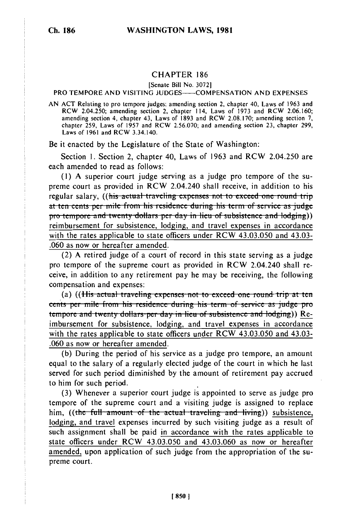## CHAPTER 186

[Senate Bill No. 3072]

## PRO TEMPORE AND VISITING JUDGES---- COMPENSATION AND EXPENSES

AN ACT Relating to pro tempore judges; amending section 2, chapter 40, Laws of 1963 and RCW 2.04.194.104.250; amending section 2, chapter 40, Laws of 1973 and RCW 2.06.160; and RCM 2.06.160; and RCM 2.06.160; and RCM 2.06.160; and RCM 2.06.160; and RCM 2.06.160; and RCM 2.06.160; and RCM 2.06.160; and RCM 2. REW 2.04.250, amending section 2, chapter 114, Laws of 1973 and RCW 2.00.100,<br>amending section 4, chapter 43, Laws of 1893 and RCW 2.08.170; amending section 7, chapter  $\overline{259}$ , Laws of 1957 and RCW 2.56.070; and amending section 23, chapter 299, Laws of 1961 and RCW 3.34.140.

Be it enacted by the Legislature of the State of Washington:

Section 1. Section 2, chapter 40, Laws of 1963 and RCW 2.04.250 are each amended to read as follows:

**(1)** A superior court judge serving as a judge pro tempore of the supreme court as provided in RCW 2.04.240 shall receive, in addition to his regular salary, ((his actual traveling expenses not to exceed one round trip at ten cents per mile from his residence during his term of service as judge pro tempore and twenty dollars per day in lieu of subsistence and lodging)) reimbursement for subsistence, lodging, and travel expenses in accordance with the rates applicable to state officers under RCW 43.03.050 and 43.03- .060 as now or hereafter amended.

(2) A retired judge of a court of record in this state serving as a judge pro tempore of the supreme court as provided in RCW 2.04.240 shall receive, in addition to any retirement pay he may be receiving, the following compensation and expenses:

(a) ((His actual traveling expenses not to exceed one round trip at ten cents per mile from his residence during his term of service as judge pro<br>tempore and twenty dollars per day in lieu of subsistence and lodging)) Reimbursement for subsistence, lodging, and travel expenses in accordance with the rates applicable to state officers under RCW 43.03.050 and 43.03- **.060** as now or hereafter amended.

**(b)** During the period of his service as a judge pro tempore, an amount equal to the salary of a regularly elected judge of the court in which he last served for such period diminished **by** the amount of retirement pay accrued to him for such period.

**(3)** Whenever a superior court judge is appointed to serve as judge pro tempore of the supreme court and a visiting judge is assigned to replace him, ((the full amount of the actual traveling and living)) subsistence, lodging, and travel expenses incurred by such visiting judge as a result of such assignment shall be paid in accordance with the rates applicable to state officers under RCW 43.03.050 and 43.03.060 as now or hereafter amended, upon application of such judge from the appropriation of the supreme court.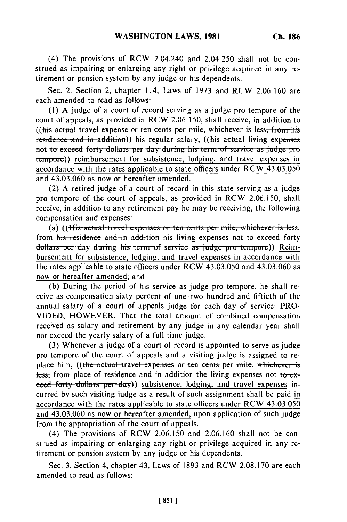(4) The provisions of RCW 2.04.240 and 2.04.250 shall not be construed as impairing or enlarging any right or privilege acquired in any retirement or pension system by any judge or his dependents.

Sec. 2. Section 2, chapter 114, Laws of 1973 and RCW 2.06.160 are each amended to read as follows:

**(1)** A judge of a court of record serving as a judge pro tempore of the court of appeals, as provided in RCW 2.06.150, shall receive, in addition to ((his actual travel expense or ten cents per mile, whichever is less, from his residence and in addition)) his regular salary, ((his actual living expenses not to exceed forty dollars per day during his term of service as judge pro tempore)) reimbursement for subsistence, lodging, and travel expenses in accordance with the rates applicable to state officers under RCW 43.03.050 and 43.03.060 as now or hereafter amended.

(2) A retired judge of a court of record in this state serving as a judge pro tempore of the court of appeals, as provided in RCW 2.06.150, shall receive, in addition to any retirement pay he may be receiving, the following compensation and expenses:

(a) ((His actual travel expenses or ten cents per mile, whichever is less; from his residence and in addition his living expenses not to exceed forty dollars per day during his term of service as judge pro tempore)) Reimbursement for subsistence, lodging, and travel expenses in accordance with the rates applicable to state officers under RCW 43.03.050 and 43.03.060 as now or hereafter amended; and

(b) During the period of his service as judge pro tempore, he shall receive as compensation sixty percent of one-two hundred and fiftieth of the annual salary of a court of appeals judge for each day of service: PRO-VIDED, HOWEVER, That the total amount of combined compensation received as salary and retirement by any judge in any calendar year shall not exceed the yearly salary of a full time judge.

(3) Whenever a judge of a court of record is appointed to serve as judge pro tempore of the court of appeals and a visiting judge is assigned to replace him, ((the actual travel expenses or ten cents per mile, whichever is less, from place of residence and in addition the living expenses not to exceed forty dollars per day)) subsistence, lodging, and travel expenses incurred by such visiting judge as a result of such assignment shall be paid in accordance with the rates applicable to state officers under RCW 43.03.050 and 43.03.060 as now or hereafter amended, upon application of such judge from the appropriation of the court of appeals.

(4) The provisions of RCW 2.06.150 and 2.06.160 shall not be construed as impairing or enlarging any right or privilege acquired in any retirement or pension system by any judge or his dependents.

Sec. 3. Section 4, chapter 43, Laws of 1893 and RCW 2.08.170 are each amended to read as follows: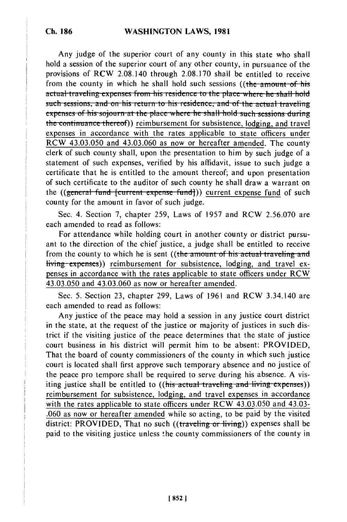Any judge of the superior court of any county in this state who shall hold a session of the superior court of any other county, in pursuance of the provisions of RCW 2.08.140 through 2.08.170 shall be entitled to receive from the county in which he shall hold such sessions ((the amount of his actual traveling expenses from his residence to the place where he shall hold such sessions, and on his return to his residence, and of the actual traveling expenses of his sojourn at the place where he shall hold such sessions during the continuance thereof)) reimbursement for subsistence, lodging, and travel expenses in accordance with the rates applicable to state officers under RCW 43.03.050 and 43.03.060 as now or hereafter amended. The county clerk of such county shall, upon the presentation to him by such judge of a statement of such expenses, verified by his affidavit, issue to such judge a certificate that he is entitled to the amount thereof; and upon presentation of such certificate to the auditor of such county he shall draw a warrant on the ((general fund {current expense fund})) current expense fund of such county for the amount in favor of such judge.

Sec. 4. Section 7, chapter 259, Laws of 1957 and RCW 2.56.070 are each amended to read as follows:

For attendance while holding court in another county or district pursuant to the direction of the chief justice, a judge shall be entitled to receive from the county to which he is sent ((the amount of his actual traveling and **living expenses))** reimbursement for subsistence, lodging, and travel expenses in accordance with the rates applicable to state officers under RCW 43.03.050 and 43.03.060 as now or hereafter amended.

Sec. 5. Section 23, chapter 299, Laws of 1961 and RCW 3.34.140 are each amended to read as follows:

Any justice of the peace may hold a session in any justice court district in the state, at the request of the justice or majority of justices in such district if the visiting justice of the peace determines that the state of justice court business in his district will permit him to be absent: PROVIDED, That the board of county commissioners of the county in which such justice court is located shall first approve such temporary absence and no justice of the peace pro tempore shall be required to serve during his absence. A visiting justice shall be entitled to ((his actual traveling and living expenses)) reimbursement for subsistence, lodging, and travel expenses in accordance with the rates applicable to state officers under RCW 43.03.050 and 43.03-.060 as now or hereafter amended while so acting, to be paid by the visited district: PROVIDED, That no such ((traveling or living)) expenses shall be paid to the visiting justice unless the county commissioners of the county in